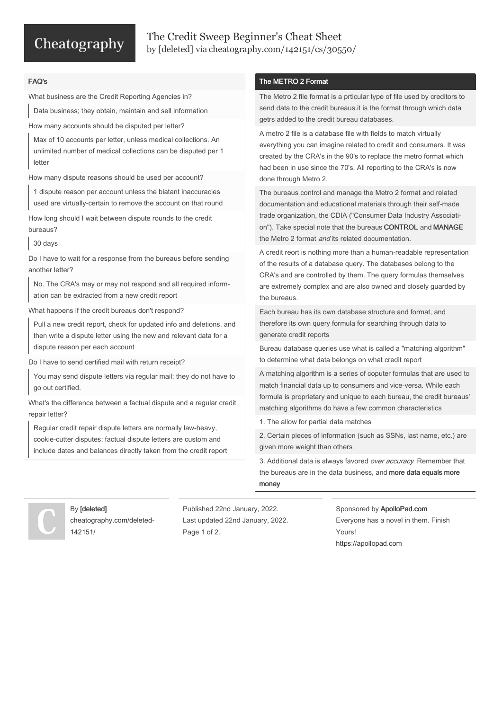# Cheatography

### The Credit Sweep Beginner's Cheat Sheet by [\[deleted\]](http://www.cheatography.com/deleted-142151/) via [cheatography.com/142151/cs/30550/](http://www.cheatography.com/deleted-142151/cheat-sheets/the-credit-sweep-beginner-s)

#### FAQ's

What business are the Credit Reporting Agencies in?

Data business; they obtain, maintain and sell information

How many accounts should be disputed per letter?

Max of 10 accounts per letter, unless medical collections. An unlimited number of medical collections can be disputed per 1 letter

How many dispute reasons should be used per account?

1 dispute reason per account unless the blatant inaccuracies used are virtually-certain to remove the account on that round

How long should I wait between dispute rounds to the credit bureaus?

30 days

Do I have to wait for a response from the bureaus before sending another letter?

No. The CRA's may or may not respond and all required inform‐ ation can be extracted from a new credit report

What happens if the credit bureaus don't respond?

Pull a new credit report, check for updated info and deletions, and then write a dispute letter using the new and relevant data for a dispute reason per each account

Do I have to send certified mail with return receipt?

You may send dispute letters via regular mail; they do not have to go out certified.

What's the difference between a factual dispute and a regular credit repair letter?

Regular credit repair dispute letters are normally law-heavy, cookie-cutter disputes; factual dispute letters are custom and include dates and balances directly taken from the credit report

#### The METRO 2 Format

The Metro 2 file format is a prticular type of file used by creditors to send data to the credit bureaus.it is the format through which data getrs added to the credit bureau databases.

A metro 2 file is a database file with fields to match virtually everything you can imagine related to credit and consumers. It was created by the CRA's in the 90's to replace the metro format which had been in use since the 70's. All reporting to the CRA's is now done through Metro 2.

The bureaus control and manage the Metro 2 format and related documentation and educational materials through their self-made trade organization, the CDIA ("Consumer Data Industry Associati‐ on"). Take special note that the bureaus CONTROL and MANAGE the Metro 2 format *and* its related documentation.

A credit reort is nothing more than a human-readable representation of the results of a database query. The databases belong to the CRA's and are controlled by them. The query formulas themselves are extremely complex and are also owned and closely guarded by the bureaus.

Each bureau has its own database structure and format, and therefore its own query formula for searching through data to generate credit reports

Bureau database queries use what is called a "matching algorithm" to determine what data belongs on what credit report

A matching algorithm is a series of coputer formulas that are used to match financial data up to consumers and vice-versa. While each formula is proprietary and unique to each bureau, the credit bureaus' matching algorithms do have a few common characteristics

1. The allow for partial data matches

2. Certain pieces of information (such as SSNs, last name, etc.) are given more weight than others

3. Additional data is always favored over accuracy. Remember that the bureaus are in the data business, and more data equals more money

#### By [deleted] [cheatography.com/deleted-](http://www.cheatography.com/deleted-142151/)142151/

Published 22nd January, 2022. Last updated 22nd January, 2022. Page 1 of 2.

Sponsored by ApolloPad.com Everyone has a novel in them. Finish Yours! <https://apollopad.com>